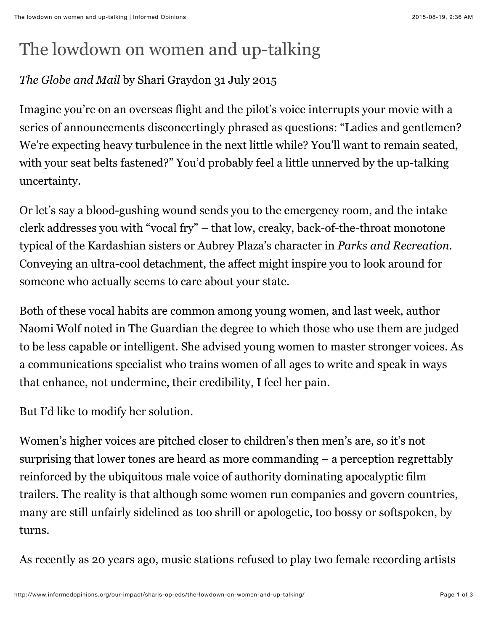## The lowdown on women and up-talking

## *The Globe and Mail* by Shari Graydon 31 July 2015

Imagine you're on an overseas flight and the pilot's voice interrupts your movie with a series of announcements disconcertingly phrased as questions: "Ladies and gentlemen? We're expecting heavy turbulence in the next little while? You'll want to remain seated, with your seat belts fastened?" You'd probably feel a little unnerved by the up-talking uncertainty.

Or let's say a blood-gushing wound sends you to the emergency room, and the intake clerk addresses you with "vocal fry" – that low, creaky, back-of-the-throat monotone typical of the Kardashian sisters or Aubrey Plaza's character in *Parks and Recreation*. Conveying an ultra-cool detachment, the affect might inspire you to look around for someone who actually seems to care about your state.

Both of these vocal habits are common among young women, and last week, author Naomi Wolf noted in The Guardian the degree to which those who use them are judged to be less capable or intelligent. She advised young women to master stronger voices. As a communications specialist who trains women of all ages to write and speak in ways that enhance, not undermine, their credibility, I feel her pain.

But I'd like to modify her solution.

Women's higher voices are pitched closer to children's then men's are, so it's not surprising that lower tones are heard as more commanding – a perception regrettably reinforced by the ubiquitous male voice of authority dominating apocalyptic film trailers. The reality is that although some women run companies and govern countries, many are still unfairly sidelined as too shrill or apologetic, too bossy or softspoken, by turns.

As recently as 20 years ago, music stations refused to play two female recording artists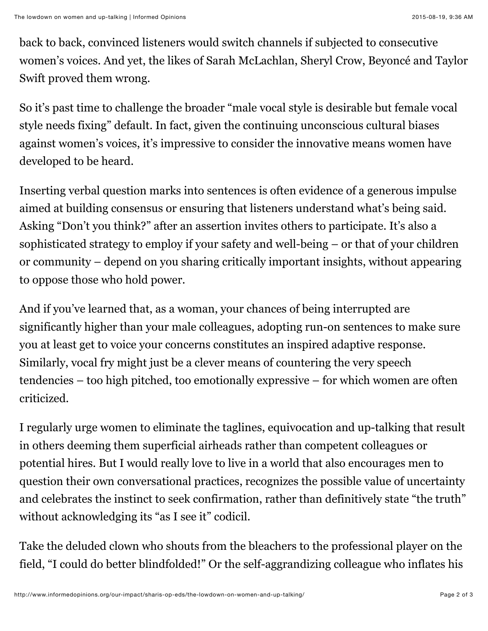back to back, convinced listeners would switch channels if subjected to consecutive women's voices. And yet, the likes of Sarah McLachlan, Sheryl Crow, Beyoncé and Taylor Swift proved them wrong.

So it's past time to challenge the broader "male vocal style is desirable but female vocal style needs fixing" default. In fact, given the continuing unconscious cultural biases against women's voices, it's impressive to consider the innovative means women have developed to be heard.

Inserting verbal question marks into sentences is often evidence of a generous impulse aimed at building consensus or ensuring that listeners understand what's being said. Asking "Don't you think?" after an assertion invites others to participate. It's also a sophisticated strategy to employ if your safety and well-being – or that of your children or community – depend on you sharing critically important insights, without appearing to oppose those who hold power.

And if you've learned that, as a woman, your chances of being interrupted are significantly higher than your male colleagues, adopting run-on sentences to make sure you at least get to voice your concerns constitutes an inspired adaptive response. Similarly, vocal fry might just be a clever means of countering the very speech tendencies – too high pitched, too emotionally expressive – for which women are often criticized.

I regularly urge women to eliminate the taglines, equivocation and up-talking that result in others deeming them superficial airheads rather than competent colleagues or potential hires. But I would really love to live in a world that also encourages men to question their own conversational practices, recognizes the possible value of uncertainty and celebrates the instinct to seek confirmation, rather than definitively state "the truth" without acknowledging its "as I see it" codicil.

Take the deluded clown who shouts from the bleachers to the professional player on the field, "I could do better blindfolded!" Or the self-aggrandizing colleague who inflates his